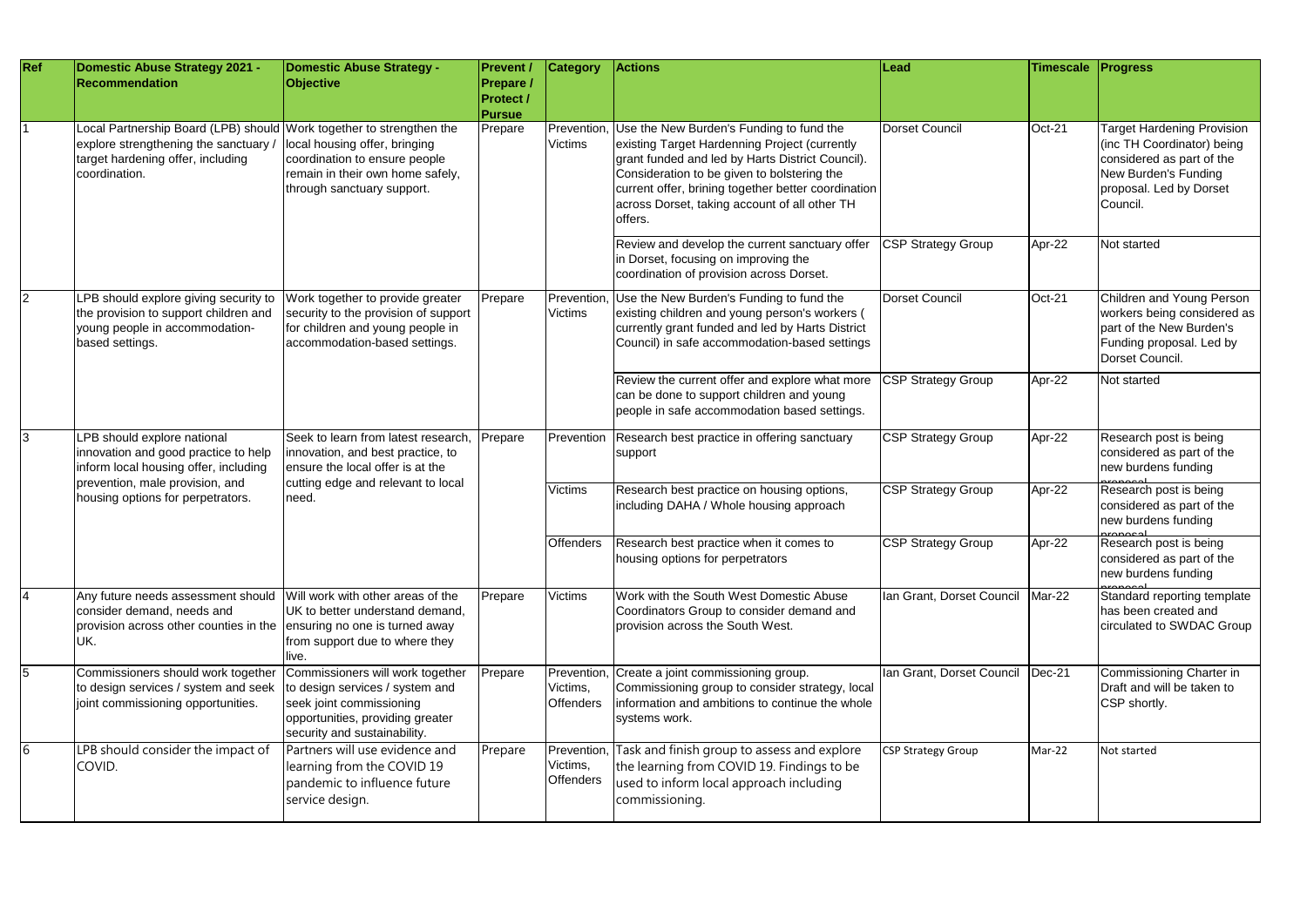| <b>Ref</b> | Domestic Abuse Strategy 2021 -<br>Recommendation                                                                                                                                     | Domestic Abuse Strategy -<br>Objective                                                                                                                              | <b>Prevent /</b><br>Prepare /<br><b>Protect /</b><br><b>Pursue</b> | <b>Category</b>                            | <b>Actions</b>                                                                                                                                                                                                                                                                                                  | Lead                      | <b>Timescale</b> | <b>Progress</b>                                                                                                                                             |
|------------|--------------------------------------------------------------------------------------------------------------------------------------------------------------------------------------|---------------------------------------------------------------------------------------------------------------------------------------------------------------------|--------------------------------------------------------------------|--------------------------------------------|-----------------------------------------------------------------------------------------------------------------------------------------------------------------------------------------------------------------------------------------------------------------------------------------------------------------|---------------------------|------------------|-------------------------------------------------------------------------------------------------------------------------------------------------------------|
|            | Local Partnership Board (LPB) should Work together to strengthen the<br>explore strengthening the sanctuary<br>target hardening offer, including<br>coordination.                    | local housing offer, bringing<br>coordination to ensure people<br>remain in their own home safely,<br>through sanctuary support.                                    | Prepare                                                            | Prevention<br><b>Victims</b>               | Use the New Burden's Funding to fund the<br>existing Target Hardenning Project (currently<br>grant funded and led by Harts District Council).<br>Consideration to be given to bolstering the<br>current offer, brining together better coordination<br>across Dorset, taking account of all other TH<br>offers. | Dorset Council            | Oct-21           | <b>Target Hardening Provision</b><br>(inc TH Coordinator) being<br>considered as part of the<br>New Burden's Funding<br>proposal. Led by Dorset<br>Council. |
|            |                                                                                                                                                                                      |                                                                                                                                                                     |                                                                    |                                            | Review and develop the current sanctuary offer<br>in Dorset, focusing on improving the<br>coordination of provision across Dorset.                                                                                                                                                                              | <b>CSP Strategy Group</b> | Apr-22           | Not started                                                                                                                                                 |
|            | PB should explore giving security to<br>the provision to support children and<br>young people in accommodation-<br>based settings.                                                   | Work together to provide greater<br>security to the provision of support<br>for children and young people in<br>accommodation-based settings.                       | Prepare                                                            | Prevention<br><b>Victims</b>               | Use the New Burden's Funding to fund the<br>existing children and young person's workers (<br>currently grant funded and led by Harts District<br>Council) in safe accommodation-based settings                                                                                                                 | Dorset Council            | Oct-21           | Children and Young Person<br>workers being considered as<br>part of the New Burden's<br>Funding proposal. Led by<br>Dorset Council.                         |
|            |                                                                                                                                                                                      |                                                                                                                                                                     |                                                                    |                                            | Review the current offer and explore what more<br>can be done to support children and young<br>people in safe accommodation based settings.                                                                                                                                                                     | <b>CSP Strategy Group</b> | Apr-22           | Not started                                                                                                                                                 |
| 13         | LPB should explore national<br>innovation and good practice to help<br>inform local housing offer, including<br>prevention, male provision, and<br>housing options for perpetrators. | Seek to learn from latest research,<br>innovation, and best practice, to<br>ensure the local offer is at the<br>cutting edge and relevant to local<br>need.         | Prepare                                                            | Prevention                                 | Research best practice in offering sanctuary<br>support                                                                                                                                                                                                                                                         | <b>CSP Strategy Group</b> | Apr-22           | Research post is being<br>considered as part of the<br>new burdens funding                                                                                  |
|            |                                                                                                                                                                                      |                                                                                                                                                                     |                                                                    | <b>Victims</b>                             | Research best practice on housing options,<br>including DAHA / Whole housing approach                                                                                                                                                                                                                           | <b>CSP Strategy Group</b> | Apr-22           | Research post is being<br>considered as part of the<br>new burdens funding                                                                                  |
|            |                                                                                                                                                                                      |                                                                                                                                                                     |                                                                    | <b>Offenders</b>                           | Research best practice when it comes to<br>housing options for perpetrators                                                                                                                                                                                                                                     | <b>CSP Strategy Group</b> | Apr-22           | Research post is being<br>considered as part of the<br>new burdens funding                                                                                  |
| 4          | Any future needs assessment should Will work with other areas of the<br>consider demand, needs and<br>provision across other counties in the lensuring no one is turned away<br>UK.  | UK to better understand demand.<br>from support due to where they<br>lıve.                                                                                          | Prepare                                                            | <b>Victims</b>                             | Work with the South West Domestic Abuse<br>Coordinators Group to consider demand and<br>provision across the South West.                                                                                                                                                                                        | Ian Grant, Dorset Council | Mar-22           | Standard reporting template<br>has been created and<br>circulated to SWDAC Group                                                                            |
| 5          | Commissioners should work together<br>to design services / system and seek<br>joint commissioning opportunities.                                                                     | Commissioners will work together<br>to design services / system and<br>seek joint commissioning<br>opportunities, providing greater<br>security and sustainability. | Prepare                                                            | Prevention<br>Victims,<br><b>Offenders</b> | Create a joint commissioning group.<br>Commissioning group to consider strategy, local<br>information and ambitions to continue the whole<br>systems work.                                                                                                                                                      | Ian Grant, Dorset Council | $Dec-21$         | Commissioning Charter in<br>Draft and will be taken to<br>CSP shortly.                                                                                      |
| 16         | LPB should consider the impact of<br>COVID.                                                                                                                                          | Partners will use evidence and<br>learning from the COVID 19<br>pandemic to influence future<br>service design.                                                     | Prepare                                                            | Prevention<br>Victims,<br><b>Offenders</b> | Task and finish group to assess and explore<br>the learning from COVID 19. Findings to be<br>used to inform local approach including<br>commissioning.                                                                                                                                                          | <b>CSP Strategy Group</b> | Mar-22           | Not started                                                                                                                                                 |